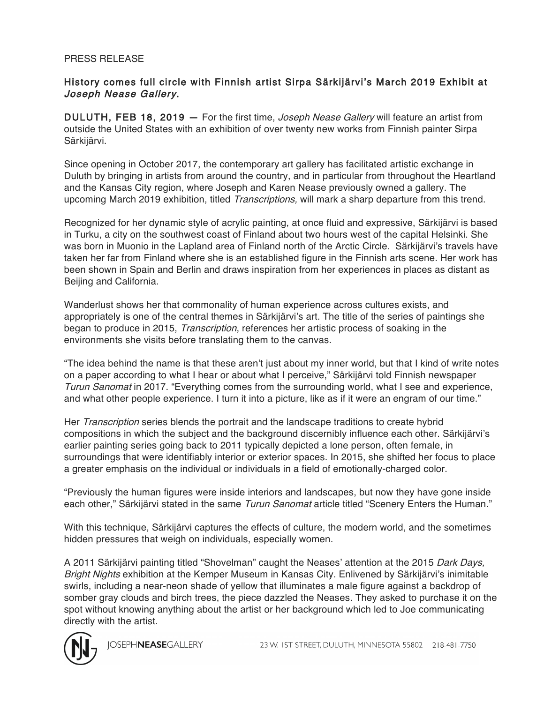## PRESS RELEASE

## History comes full circle with Finnish artist Sirpa Särkijärvi's March 2019 Exhibit at Joseph Nease Gallery.

DULUTH, FEB 18, 2019 - For the first time, Joseph Nease Gallery will feature an artist from outside the United States with an exhibition of over twenty new works from Finnish painter Sirpa Särkijärvi.

Since opening in October 2017, the contemporary art gallery has facilitated artistic exchange in Duluth by bringing in artists from around the country, and in particular from throughout the Heartland and the Kansas City region, where Joseph and Karen Nease previously owned a gallery. The upcoming March 2019 exhibition, titled *Transcriptions*, will mark a sharp departure from this trend.

Recognized for her dynamic style of acrylic painting, at once fluid and expressive, Särkijärvi is based in Turku, a city on the southwest coast of Finland about two hours west of the capital Helsinki. She was born in Muonio in the Lapland area of Finland north of the Arctic Circle. Särkijärvi's travels have taken her far from Finland where she is an established figure in the Finnish arts scene. Her work has been shown in Spain and Berlin and draws inspiration from her experiences in places as distant as Beijing and California.

Wanderlust shows her that commonality of human experience across cultures exists, and appropriately is one of the central themes in Särkijärvi's art. The title of the series of paintings she began to produce in 2015, Transcription, references her artistic process of soaking in the environments she visits before translating them to the canvas.

"The idea behind the name is that these aren't just about my inner world, but that I kind of write notes on a paper according to what I hear or about what I perceive," Särkijärvi told Finnish newspaper Turun Sanomat in 2017. "Everything comes from the surrounding world, what I see and experience, and what other people experience. I turn it into a picture, like as if it were an engram of our time."

Her Transcription series blends the portrait and the landscape traditions to create hybrid compositions in which the subject and the background discernibly influence each other. Särkijärvi's earlier painting series going back to 2011 typically depicted a lone person, often female, in surroundings that were identifiably interior or exterior spaces. In 2015, she shifted her focus to place a greater emphasis on the individual or individuals in a field of emotionally-charged color.

"Previously the human figures were inside interiors and landscapes, but now they have gone inside each other," Särkijärvi stated in the same Turun Sanomat article titled "Scenery Enters the Human."

With this technique, Särkijärvi captures the effects of culture, the modern world, and the sometimes hidden pressures that weigh on individuals, especially women.

A 2011 Särkijärvi painting titled "Shovelman" caught the Neases' attention at the 2015 Dark Days, Bright Nights exhibition at the Kemper Museum in Kansas City. Enlivened by Särkijärvi's inimitable swirls, including a near-neon shade of yellow that illuminates a male figure against a backdrop of somber gray clouds and birch trees, the piece dazzled the Neases. They asked to purchase it on the spot without knowing anything about the artist or her background which led to Joe communicating directly with the artist.



**IOSEPHNEASEGALLERY**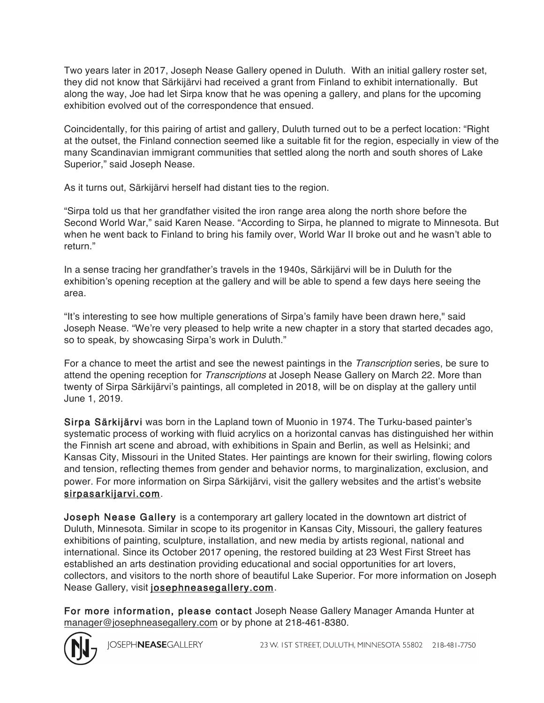Two years later in 2017, Joseph Nease Gallery opened in Duluth. With an initial gallery roster set, they did not know that Särkijärvi had received a grant from Finland to exhibit internationally. But along the way, Joe had let Sirpa know that he was opening a gallery, and plans for the upcoming exhibition evolved out of the correspondence that ensued.

Coincidentally, for this pairing of artist and gallery, Duluth turned out to be a perfect location: "Right at the outset, the Finland connection seemed like a suitable fit for the region, especially in view of the many Scandinavian immigrant communities that settled along the north and south shores of Lake Superior," said Joseph Nease.

As it turns out, Särkijärvi herself had distant ties to the region.

"Sirpa told us that her grandfather visited the iron range area along the north shore before the Second World War," said Karen Nease. "According to Sirpa, he planned to migrate to Minnesota. But when he went back to Finland to bring his family over, World War II broke out and he wasn't able to return."

In a sense tracing her grandfather's travels in the 1940s, Särkijärvi will be in Duluth for the exhibition's opening reception at the gallery and will be able to spend a few days here seeing the area.

"It's interesting to see how multiple generations of Sirpa's family have been drawn here," said Joseph Nease. "We're very pleased to help write a new chapter in a story that started decades ago, so to speak, by showcasing Sirpa's work in Duluth."

For a chance to meet the artist and see the newest paintings in the *Transcription* series, be sure to attend the opening reception for *Transcriptions* at Joseph Nease Gallery on March 22. More than twenty of Sirpa Särkijärvi's paintings, all completed in 2018, will be on display at the gallery until June 1, 2019.

Sirpa Särkijärvi was born in the Lapland town of Muonio in 1974. The Turku-based painter's systematic process of working with fluid acrylics on a horizontal canvas has distinguished her within the Finnish art scene and abroad, with exhibitions in Spain and Berlin, as well as Helsinki; and Kansas City, Missouri in the United States. Her paintings are known for their swirling, flowing colors and tension, reflecting themes from gender and behavior norms, to marginalization, exclusion, and power. For more information on Sirpa Särkijärvi, visit the gallery websites and the artist's website sirpasarkijarvi.com.

Joseph Nease Gallery is a contemporary art gallery located in the downtown art district of Duluth, Minnesota. Similar in scope to its progenitor in Kansas City, Missouri, the gallery features exhibitions of painting, sculpture, installation, and new media by artists regional, national and international. Since its October 2017 opening, the restored building at 23 West First Street has established an arts destination providing educational and social opportunities for art lovers, collectors, and visitors to the north shore of beautiful Lake Superior. For more information on Joseph Nease Gallery, visit josephneasegallery.com.

For more information, please contact Joseph Nease Gallery Manager Amanda Hunter at manager@josephneasegallery.com or by phone at 218-461-8380.



**IOSEPHNEASEGALLERY**